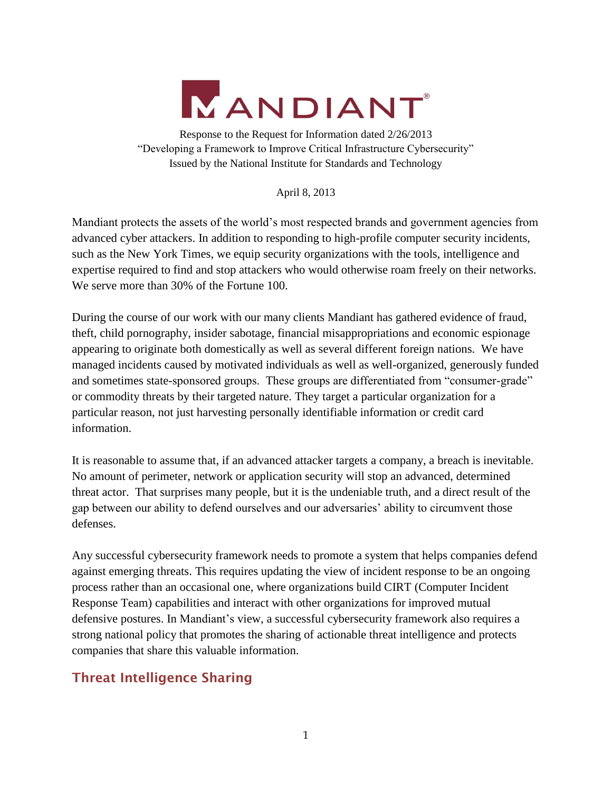

Response to the Request for Information dated 2/26/2013 "Developing a Framework to Improve Critical Infrastructure Cybersecurity" Issued by the National Institute for Standards and Technology

April 8, 2013

Mandiant protects the assets of the world's most respected brands and government agencies from advanced cyber attackers. In addition to responding to high-profile computer security incidents, such as the New York Times, we equip security organizations with the tools, intelligence and expertise required to find and stop attackers who would otherwise roam freely on their networks. We serve more than 30% of the Fortune 100.

During the course of our work with our many clients Mandiant has gathered evidence of fraud, theft, child pornography, insider sabotage, financial misappropriations and economic espionage appearing to originate both domestically as well as several different foreign nations. We have managed incidents caused by motivated individuals as well as well-organized, generously funded and sometimes state-sponsored groups. These groups are differentiated from "consumer-grade" or commodity threats by their targeted nature. They target a particular organization for a particular reason, not just harvesting personally identifiable information or credit card information.

It is reasonable to assume that, if an advanced attacker targets a company, a breach is inevitable. No amount of perimeter, network or application security will stop an advanced, determined threat actor. That surprises many people, but it is the undeniable truth, and a direct result of the gap between our ability to defend ourselves and our adversaries' ability to circumvent those defenses.

Any successful cybersecurity framework needs to promote a system that helps companies defend against emerging threats. This requires updating the view of incident response to be an ongoing process rather than an occasional one, where organizations build CIRT (Computer Incident Response Team) capabilities and interact with other organizations for improved mutual defensive postures. In Mandiant's view, a successful cybersecurity framework also requires a strong national policy that promotes the sharing of actionable threat intelligence and protects companies that share this valuable information.

## **Threat Intelligence Sharing**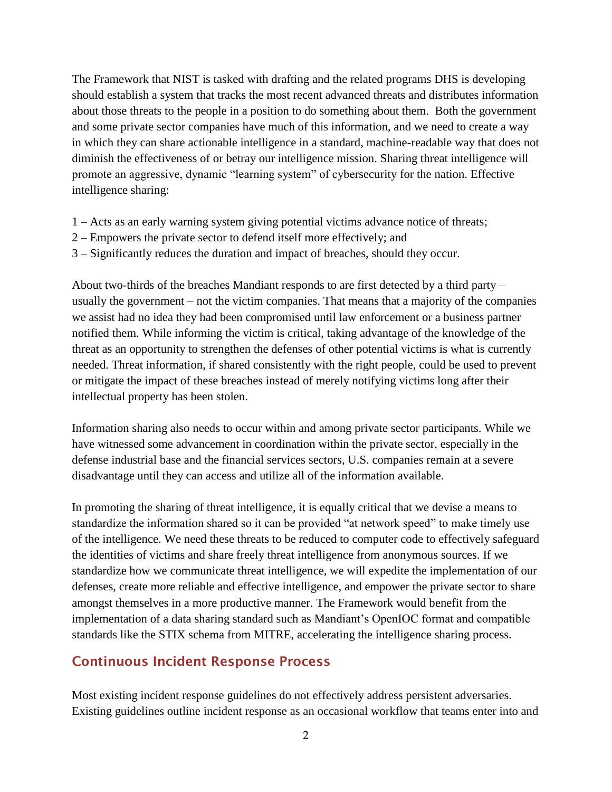The Framework that NIST is tasked with drafting and the related programs DHS is developing should establish a system that tracks the most recent advanced threats and distributes information about those threats to the people in a position to do something about them. Both the government and some private sector companies have much of this information, and we need to create a way in which they can share actionable intelligence in a standard, machine-readable way that does not diminish the effectiveness of or betray our intelligence mission. Sharing threat intelligence will promote an aggressive, dynamic "learning system" of cybersecurity for the nation. Effective intelligence sharing:

- 1 Acts as an early warning system giving potential victims advance notice of threats;
- 2 Empowers the private sector to defend itself more effectively; and
- 3 Significantly reduces the duration and impact of breaches, should they occur.

About two-thirds of the breaches Mandiant responds to are first detected by a third party – usually the government – not the victim companies. That means that a majority of the companies we assist had no idea they had been compromised until law enforcement or a business partner notified them. While informing the victim is critical, taking advantage of the knowledge of the threat as an opportunity to strengthen the defenses of other potential victims is what is currently needed. Threat information, if shared consistently with the right people, could be used to prevent or mitigate the impact of these breaches instead of merely notifying victims long after their intellectual property has been stolen.

Information sharing also needs to occur within and among private sector participants. While we have witnessed some advancement in coordination within the private sector, especially in the defense industrial base and the financial services sectors, U.S. companies remain at a severe disadvantage until they can access and utilize all of the information available.

In promoting the sharing of threat intelligence, it is equally critical that we devise a means to standardize the information shared so it can be provided "at network speed" to make timely use of the intelligence. We need these threats to be reduced to computer code to effectively safeguard the identities of victims and share freely threat intelligence from anonymous sources. If we standardize how we communicate threat intelligence, we will expedite the implementation of our defenses, create more reliable and effective intelligence, and empower the private sector to share amongst themselves in a more productive manner. The Framework would benefit from the implementation of a data sharing standard such as Mandiant's OpenIOC format and compatible standards like the STIX schema from MITRE, accelerating the intelligence sharing process.

## **Continuous Incident Response Process**

Most existing incident response guidelines do not effectively address persistent adversaries. Existing guidelines outline incident response as an occasional workflow that teams enter into and